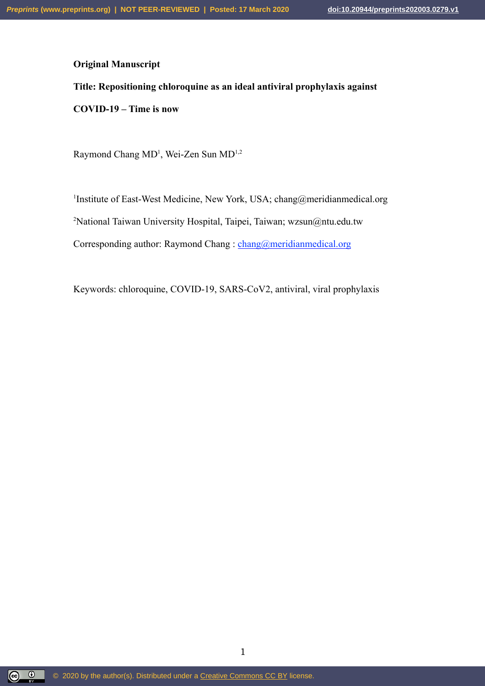# **Original Manuscript**

# **Title: Repositioning chloroquine as an ideal antiviral prophylaxis against**

**COVID-19 – Time is now**

Raymond Chang MD<sup>1</sup>, Wei-Zen Sun MD<sup>1,2</sup>

<sup>1</sup>Institute of East-West Medicine, New York, USA; chang@meridianmedical.org <sup>2</sup>National Taiwan University Hospital, Taipei, Taiwan; wzsun $@$ ntu.edu.tw Corresponding author: Raymond Chang : chang@meridianmedical.org

Keywords: chloroquine, COVID-19, SARS-CoV2, antiviral, viral prophylaxis

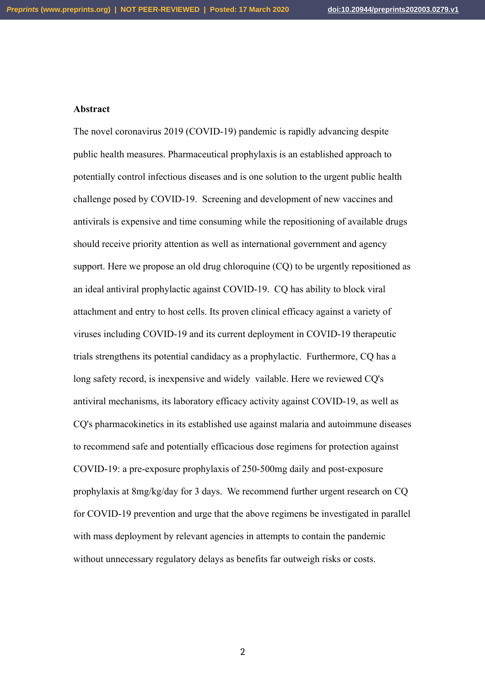#### **Abstract**

The novel coronavirus 2019 (COVID-19) pandemic is rapidly advancing despite public health measures. Pharmaceutical prophylaxis is an established approach to potentially control infectious diseases and is one solution to the urgent public health challenge posed by COVID-19. Screening and development of new vaccines and antivirals is expensive and time consuming while the repositioning of available drugs should receive priority attention as well as international government and agency support. Here we propose an old drug chloroquine (CQ) to be urgently repositioned as an ideal antiviral prophylactic against COVID-19. CQ has ability to block viral attachment and entry to host cells. Its proven clinical efficacy against a variety of viruses including COVID-19 and its current deployment in COVID-19 therapeutic trials strengthens its potential candidacy as a prophylactic. Furthermore, CQ has a long safety record, is inexpensive and widely vailable. Here we reviewed CQ's antiviral mechanisms, its laboratory efficacy activity against COVID-19, as well as CQ's pharmacokinetics in its established use against malaria and autoimmune diseases to recommend safe and potentially efficacious dose regimens for protection against COVID-19: a pre-exposure prophylaxis of 250-500mg daily and post-exposure prophylaxis at 8mg/kg/day for 3 days. We recommend further urgent research on CQ for COVID-19 prevention and urge that the above regimens be investigated in parallel with mass deployment by relevant agencies in attempts to contain the pandemic without unnecessary regulatory delays as benefits far outweigh risks or costs.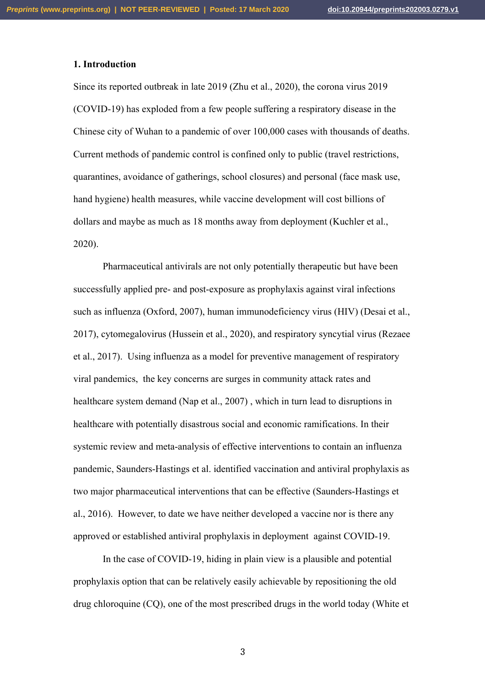## **1. Introduction**

Since its reported outbreak in late 2019 (Zhu et al., 2020), the corona virus 2019 (COVID-19) has exploded from a few people suffering a respiratory disease in the Chinese city of Wuhan to a pandemic of over 100,000 cases with thousands of deaths. Current methods of pandemic control is confined only to public (travel restrictions, quarantines, avoidance of gatherings, school closures) and personal (face mask use, hand hygiene) health measures, while vaccine development will cost billions of dollars and maybe as much as 18 months away from deployment (Kuchler et al., 2020).

Pharmaceutical antivirals are not only potentially therapeutic but have been successfully applied pre- and post-exposure as prophylaxis against viral infections such as influenza (Oxford, 2007), human immunodeficiency virus (HIV) (Desai et al., 2017), cytomegalovirus (Hussein et al., 2020), and respiratory syncytial virus (Rezaee et al., 2017). Using influenza as a model for preventive management of respiratory viral pandemics, the key concerns are surges in community attack rates and healthcare system demand (Nap et al., 2007) , which in turn lead to disruptions in healthcare with potentially disastrous social and economic ramifications. In their systemic review and meta-analysis of effective interventions to contain an influenza pandemic, Saunders-Hastings et al. identified vaccination and antiviral prophylaxis as two major pharmaceutical interventions that can be effective (Saunders-Hastings et al., 2016). However, to date we have neither developed a vaccine nor is there any approved or established antiviral prophylaxis in deployment against COVID-19.

In the case of COVID-19, hiding in plain view is a plausible and potential prophylaxis option that can be relatively easily achievable by repositioning the old drug chloroquine (CQ), one of the most prescribed drugs in the world today (White et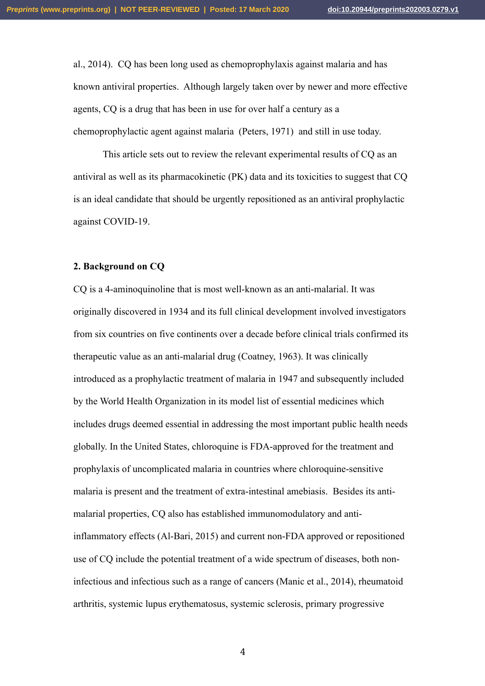al., 2014). CQ has been long used as chemoprophylaxis against malaria and has known antiviral properties. Although largely taken over by newer and more effective agents, CQ is a drug that has been in use for over half a century as a chemoprophylactic agent against malaria (Peters, 1971) and still in use today.

This article sets out to review the relevant experimental results of CQ as an antiviral as well as its pharmacokinetic (PK) data and its toxicities to suggest that CQ is an ideal candidate that should be urgently repositioned as an antiviral prophylactic against COVID-19.

## **2. Background on CQ**

CQ is a 4-aminoquinoline that is most well-known as an anti-malarial. It was originally discovered in 1934 and its full clinical development involved investigators from six countries on five continents over a decade before clinical trials confirmed its therapeutic value as an anti-malarial drug (Coatney, 1963). It was clinically introduced as a prophylactic treatment of malaria in 1947 and subsequently included by the World Health Organization in its model list of essential medicines which includes drugs deemed essential in addressing the most important public health needs globally. In the United States, chloroquine is FDA-approved for the treatment and prophylaxis of uncomplicated malaria in countries where chloroquine-sensitive malaria is present and the treatment of extra-intestinal amebiasis. Besides its antimalarial properties, CQ also has established immunomodulatory and antiinflammatory effects (Al-Bari, 2015) and current non-FDA approved or repositioned use of CQ include the potential treatment of a wide spectrum of diseases, both noninfectious and infectious such as a range of cancers (Manic et al., 2014), rheumatoid arthritis, systemic lupus erythematosus, systemic sclerosis, primary progressive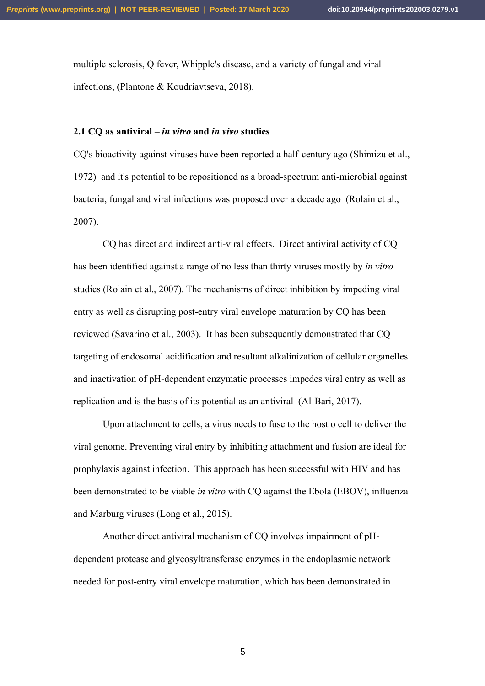multiple sclerosis, Q fever, Whipple's disease, and a variety of fungal and viral infections, (Plantone & Koudriavtseva, 2018).

## **2.1 CQ as antiviral –** *in vitro* **and** *in vivo* **studies**

CQ's bioactivity against viruses have been reported a half-century ago (Shimizu et al., 1972) and it's potential to be repositioned as a broad-spectrum anti-microbial against bacteria, fungal and viral infections was proposed over a decade ago (Rolain et al., 2007).

CQ has direct and indirect anti-viral effects. Direct antiviral activity of CQ has been identified against a range of no less than thirty viruses mostly by *in vitro* studies (Rolain et al., 2007). The mechanisms of direct inhibition by impeding viral entry as well as disrupting post-entry viral envelope maturation by CQ has been reviewed (Savarino et al., 2003). It has been subsequently demonstrated that CQ targeting of endosomal acidification and resultant alkalinization of cellular organelles and inactivation of pH-dependent enzymatic processes impedes viral entry as well as replication and is the basis of its potential as an antiviral (Al-Bari, 2017).

Upon attachment to cells, a virus needs to fuse to the host o cell to deliver the viral genome. Preventing viral entry by inhibiting attachment and fusion are ideal for prophylaxis against infection. This approach has been successful with HIV and has been demonstrated to be viable *in vitro* with CQ against the Ebola (EBOV), influenza and Marburg viruses (Long et al., 2015).

Another direct antiviral mechanism of CQ involves impairment of pHdependent protease and glycosyltransferase enzymes in the endoplasmic network needed for post-entry viral envelope maturation, which has been demonstrated in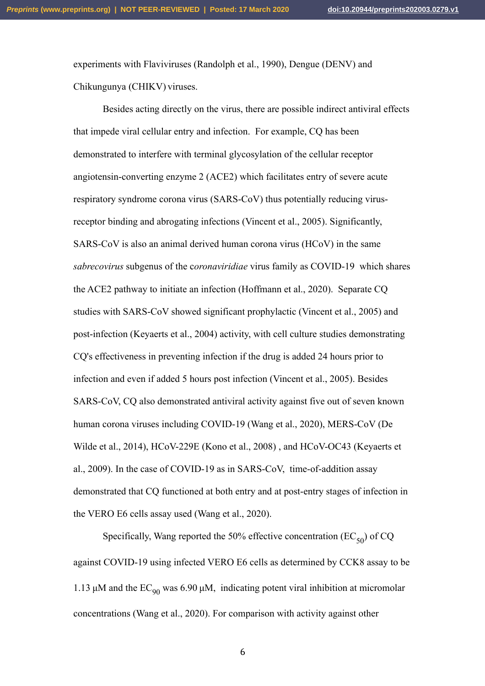experiments with Flaviviruses (Randolph et al., 1990), Dengue (DENV) and Chikungunya (CHIKV) viruses.

Besides acting directly on the virus, there are possible indirect antiviral effects that impede viral cellular entry and infection. For example, CQ has been demonstrated to interfere with terminal glycosylation of the cellular receptor angiotensin-converting enzyme 2 (ACE2) which facilitates entry of severe acute respiratory syndrome corona virus (SARS-CoV) thus potentially reducing virusreceptor binding and abrogating infections (Vincent et al., 2005). Significantly, SARS-CoV is also an animal derived human corona virus (HCoV) in the same *sabrecovirus* subgenus of the c*oronaviridiae* virus family as COVID-19 which shares the ACE2 pathway to initiate an infection (Hoffmann et al., 2020). Separate CQ studies with SARS-CoV showed significant prophylactic (Vincent et al., 2005) and post-infection (Keyaerts et al., 2004) activity, with cell culture studies demonstrating CQ's effectiveness in preventing infection if the drug is added 24 hours prior to infection and even if added 5 hours post infection (Vincent et al., 2005). Besides SARS-CoV, CQ also demonstrated antiviral activity against five out of seven known human corona viruses including COVID-19 (Wang et al., 2020), MERS-CoV (De Wilde et al., 2014), HCoV-229E (Kono et al., 2008) , and HCoV-OC43 (Keyaerts et al., 2009). In the case of COVID-19 as in SARS-CoV, time-of-addition assay demonstrated that CQ functioned at both entry and at post-entry stages of infection in the VERO E6 cells assay used (Wang et al., 2020).

Specifically, Wang reported the 50% effective concentration ( $EC_{50}$ ) of CQ against COVID-19 using infected VERO E6 cells as determined by CCK8 assay to be 1.13  $\mu$ M and the EC<sub>90</sub> was 6.90  $\mu$ M, indicating potent viral inhibition at micromolar concentrations (Wang et al., 2020). For comparison with activity against other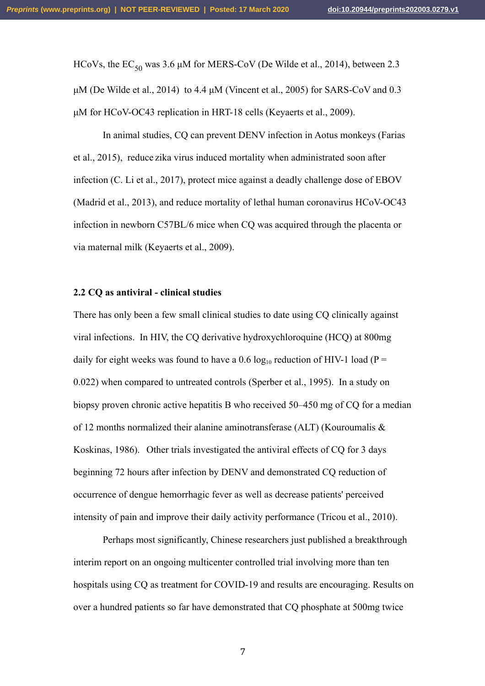HCoVs, the  $EC_{50}$  was 3.6 µM for MERS-CoV (De Wilde et al., 2014), between 2.3  $\mu$ M (De Wilde et al., 2014) to 4.4  $\mu$ M (Vincent et al., 2005) for SARS-CoV and 0.3 µM for HCoV-OC43 replication in HRT-18 cells (Keyaerts et al., 2009).

In animal studies, CQ can prevent DENV infection in Aotus monkeys (Farias et al., 2015), reduce zika virus induced mortality when administrated soon after infection (C. Li et al., 2017), protect mice against a deadly challenge dose of EBOV (Madrid et al., 2013), and reduce mortality of lethal human coronavirus HCoV-OC43 infection in newborn C57BL/6 mice when CQ was acquired through the placenta or via maternal milk (Keyaerts et al., 2009).

#### **2.2 CQ as antiviral - clinical studies**

There has only been a few small clinical studies to date using CQ clinically against viral infections. In HIV, the CQ derivative hydroxychloroquine (HCQ) at 800mg daily for eight weeks was found to have a 0.6 log<sub>10</sub> reduction of HIV-1 load (P = 0.022) when compared to untreated controls (Sperber et al., 1995). In a study on biopsy proven chronic active hepatitis B who received 50–450 mg of CQ for a median of 12 months normalized their alanine aminotransferase (ALT) (Kouroumalis & Koskinas, 1986). Other trials investigated the antiviral effects of CQ for 3 days beginning 72 hours after infection by DENV and demonstrated CQ reduction of occurrence of dengue hemorrhagic fever as well as decrease patients' perceived intensity of pain and improve their daily activity performance (Tricou et al., 2010).

Perhaps most significantly, Chinese researchers just published a breakthrough interim report on an ongoing multicenter controlled trial involving more than ten hospitals using CQ as treatment for COVID-19 and results are encouraging. Results on over a hundred patients so far have demonstrated that CQ phosphate at 500mg twice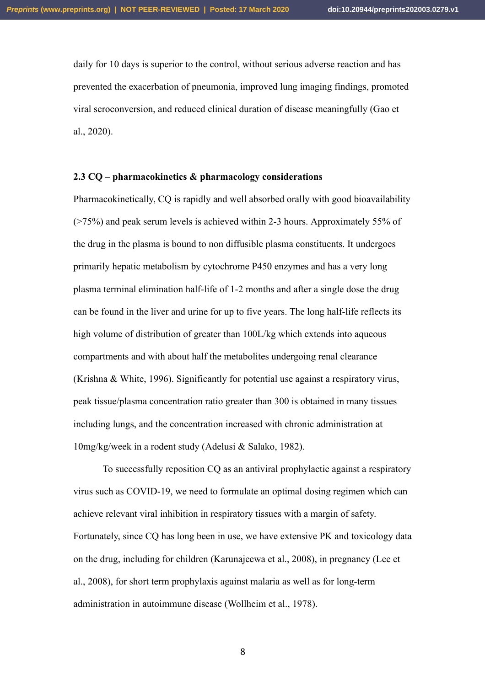daily for 10 days is superior to the control, without serious adverse reaction and has prevented the exacerbation of pneumonia, improved lung imaging findings, promoted viral seroconversion, and reduced clinical duration of disease meaningfully (Gao et al., 2020).

#### **2.3 CQ – pharmacokinetics & pharmacology considerations**

Pharmacokinetically, CQ is rapidly and well absorbed orally with good bioavailability (>75%) and peak serum levels is achieved within 2-3 hours. Approximately 55% of the drug in the plasma is bound to non diffusible plasma constituents. It undergoes primarily hepatic metabolism by cytochrome P450 enzymes and has a very long plasma terminal elimination half-life of 1-2 months and after a single dose the drug can be found in the liver and urine for up to five years. The long half-life reflects its high volume of distribution of greater than 100L/kg which extends into aqueous compartments and with about half the metabolites undergoing renal clearance (Krishna & White, 1996). Significantly for potential use against a respiratory virus, peak tissue/plasma concentration ratio greater than 300 is obtained in many tissues including lungs, and the concentration increased with chronic administration at 10mg/kg/week in a rodent study (Adelusi & Salako, 1982).

To successfully reposition CQ as an antiviral prophylactic against a respiratory virus such as COVID-19, we need to formulate an optimal dosing regimen which can achieve relevant viral inhibition in respiratory tissues with a margin of safety. Fortunately, since CQ has long been in use, we have extensive PK and toxicology data on the drug, including for children (Karunajeewa et al., 2008), in pregnancy (Lee et al., 2008), for short term prophylaxis against malaria as well as for long-term administration in autoimmune disease (Wollheim et al., 1978).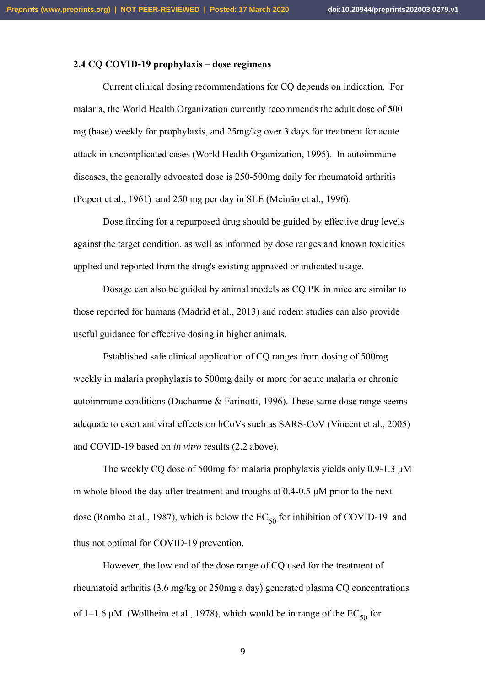## **2.4 CQ COVID-19 prophylaxis – dose regimens**

Current clinical dosing recommendations for CQ depends on indication. For malaria, the World Health Organization currently recommends the adult dose of 500 mg (base) weekly for prophylaxis, and 25mg/kg over 3 days for treatment for acute attack in uncomplicated cases (World Health Organization, 1995). In autoimmune diseases, the generally advocated dose is 250-500mg daily for rheumatoid arthritis (Popert et al., 1961) and 250 mg per day in SLE (Meinão et al., 1996).

Dose finding for a repurposed drug should be guided by effective drug levels against the target condition, as well as informed by dose ranges and known toxicities applied and reported from the drug's existing approved or indicated usage.

Dosage can also be guided by animal models as CQ PK in mice are similar to those reported for humans (Madrid et al., 2013) and rodent studies can also provide useful guidance for effective dosing in higher animals.

Established safe clinical application of CQ ranges from dosing of 500mg weekly in malaria prophylaxis to 500mg daily or more for acute malaria or chronic autoimmune conditions (Ducharme & Farinotti, 1996). These same dose range seems adequate to exert antiviral effects on hCoVs such as SARS-CoV (Vincent et al., 2005) and COVID-19 based on *in vitro* results (2.2 above).

The weekly CQ dose of 500mg for malaria prophylaxis yields only 0.9-1.3 µM in whole blood the day after treatment and troughs at 0.4-0.5 µM prior to the next dose (Rombo et al., 1987), which is below the  $EC_{50}$  for inhibition of COVID-19 and thus not optimal for COVID-19 prevention.

However, the low end of the dose range of CQ used for the treatment of rheumatoid arthritis (3.6 mg/kg or 250mg a day) generated plasma CQ concentrations of 1–1.6  $\mu$ M (Wollheim et al., 1978), which would be in range of the EC<sub>50</sub> for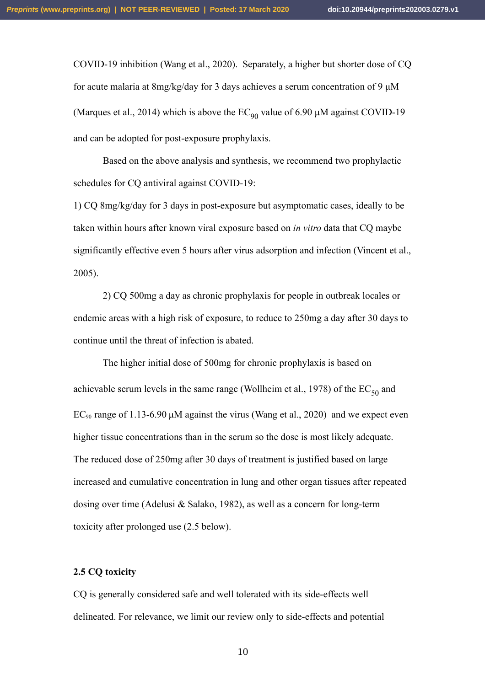COVID-19 inhibition (Wang et al., 2020). Separately, a higher but shorter dose of CQ for acute malaria at 8mg/kg/day for 3 days achieves a serum concentration of 9  $\mu$ M (Marques et al., 2014) which is above the  $EC_{90}$  value of 6.90 µM against COVID-19 and can be adopted for post-exposure prophylaxis.

Based on the above analysis and synthesis, we recommend two prophylactic schedules for CO antiviral against COVID-19:

1) CQ 8mg/kg/day for 3 days in post-exposure but asymptomatic cases, ideally to be taken within hours after known viral exposure based on *in vitro* data that CQ maybe significantly effective even 5 hours after virus adsorption and infection (Vincent et al., 2005).

2) CQ 500mg a day as chronic prophylaxis for people in outbreak locales or endemic areas with a high risk of exposure, to reduce to 250mg a day after 30 days to continue until the threat of infection is abated.

The higher initial dose of 500mg for chronic prophylaxis is based on achievable serum levels in the same range (Wollheim et al., 1978) of the  $EC_{50}$  and  $EC_{90}$  range of 1.13-6.90  $\mu$ M against the virus (Wang et al., 2020) and we expect even higher tissue concentrations than in the serum so the dose is most likely adequate. The reduced dose of 250mg after 30 days of treatment is justified based on large increased and cumulative concentration in lung and other organ tissues after repeated dosing over time (Adelusi & Salako, 1982), as well as a concern for long-term toxicity after prolonged use (2.5 below).

#### **2.5 CQ toxicity**

CQ is generally considered safe and well tolerated with its side-effects well delineated. For relevance, we limit our review only to side-effects and potential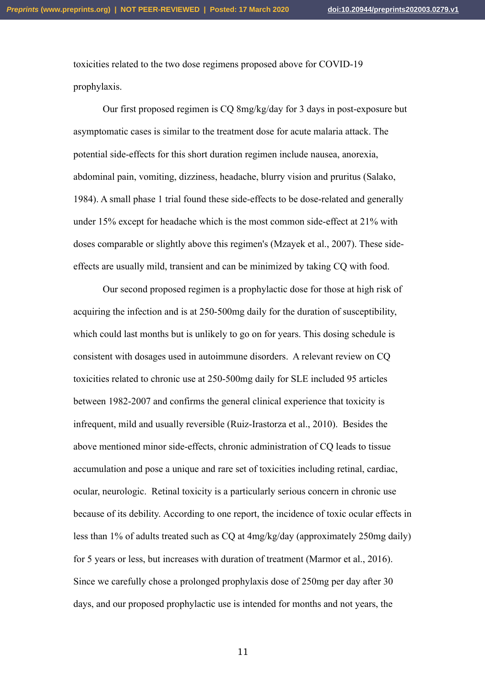toxicities related to the two dose regimens proposed above for COVID-19 prophylaxis.

Our first proposed regimen is CQ 8mg/kg/day for 3 days in post-exposure but asymptomatic cases is similar to the treatment dose for acute malaria attack. The potential side-effects for this short duration regimen include nausea, anorexia, abdominal pain, vomiting, dizziness, headache, blurry vision and pruritus (Salako, 1984). A small phase 1 trial found these side-effects to be dose-related and generally under 15% except for headache which is the most common side-effect at 21% with doses comparable or slightly above this regimen's (Mzayek et al., 2007). These sideeffects are usually mild, transient and can be minimized by taking CQ with food.

Our second proposed regimen is a prophylactic dose for those at high risk of acquiring the infection and is at 250-500mg daily for the duration of susceptibility, which could last months but is unlikely to go on for years. This dosing schedule is consistent with dosages used in autoimmune disorders. A relevant review on CQ toxicities related to chronic use at 250-500mg daily for SLE included 95 articles between 1982-2007 and confirms the general clinical experience that toxicity is infrequent, mild and usually reversible (Ruiz-Irastorza et al., 2010). Besides the above mentioned minor side-effects, chronic administration of CQ leads to tissue accumulation and pose a unique and rare set of toxicities including retinal, cardiac, ocular, neurologic. Retinal toxicity is a particularly serious concern in chronic use because of its debility. According to one report, the incidence of toxic ocular effects in less than 1% of adults treated such as CQ at 4mg/kg/day (approximately 250mg daily) for 5 years or less, but increases with duration of treatment (Marmor et al., 2016). Since we carefully chose a prolonged prophylaxis dose of 250mg per day after 30 days, and our proposed prophylactic use is intended for months and not years, the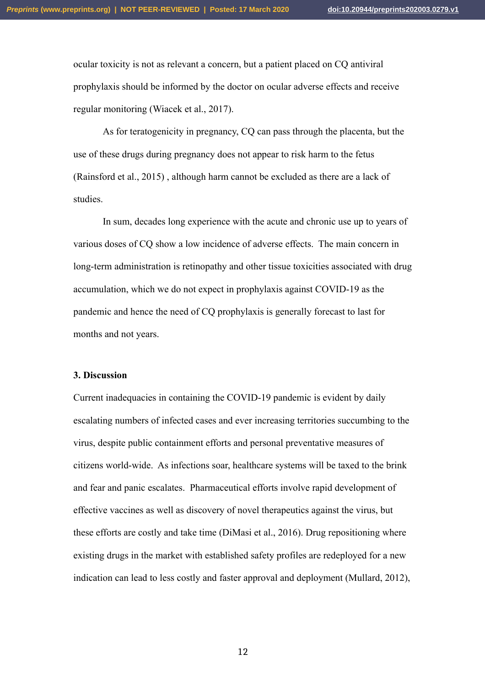ocular toxicity is not as relevant a concern, but a patient placed on CQ antiviral prophylaxis should be informed by the doctor on ocular adverse effects and receive regular monitoring (Wiacek et al., 2017).

As for teratogenicity in pregnancy, CO can pass through the placenta, but the use of these drugs during pregnancy does not appear to risk harm to the fetus (Rainsford et al., 2015) , although harm cannot be excluded as there are a lack of studies.

In sum, decades long experience with the acute and chronic use up to years of various doses of CQ show a low incidence of adverse effects. The main concern in long-term administration is retinopathy and other tissue toxicities associated with drug accumulation, which we do not expect in prophylaxis against COVID-19 as the pandemic and hence the need of CQ prophylaxis is generally forecast to last for months and not years.

#### **3. Discussion**

Current inadequacies in containing the COVID-19 pandemic is evident by daily escalating numbers of infected cases and ever increasing territories succumbing to the virus, despite public containment efforts and personal preventative measures of citizens world-wide. As infections soar, healthcare systems will be taxed to the brink and fear and panic escalates. Pharmaceutical efforts involve rapid development of effective vaccines as well as discovery of novel therapeutics against the virus, but these efforts are costly and take time (DiMasi et al., 2016). Drug repositioning where existing drugs in the market with established safety profiles are redeployed for a new indication can lead to less costly and faster approval and deployment (Mullard, 2012),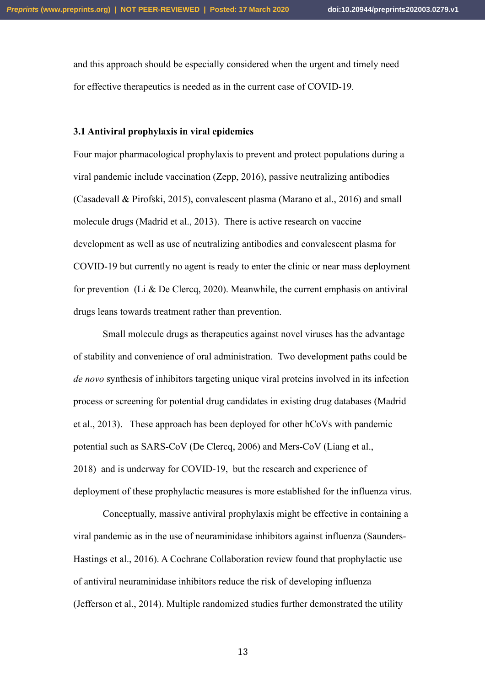and this approach should be especially considered when the urgent and timely need for effective therapeutics is needed as in the current case of COVID-19.

#### **3.1 Antiviral prophylaxis in viral epidemics**

Four major pharmacological prophylaxis to prevent and protect populations during a viral pandemic include vaccination (Zepp, 2016), passive neutralizing antibodies (Casadevall & Pirofski, 2015), convalescent plasma (Marano et al., 2016) and small molecule drugs (Madrid et al., 2013). There is active research on vaccine development as well as use of neutralizing antibodies and convalescent plasma for COVID-19 but currently no agent is ready to enter the clinic or near mass deployment for prevention (Li & De Clercq, 2020). Meanwhile, the current emphasis on antiviral drugs leans towards treatment rather than prevention.

Small molecule drugs as therapeutics against novel viruses has the advantage of stability and convenience of oral administration. Two development paths could be *de novo* synthesis of inhibitors targeting unique viral proteins involved in its infection process or screening for potential drug candidates in existing drug databases (Madrid et al., 2013). These approach has been deployed for other hCoVs with pandemic potential such as SARS-CoV (De Clercq, 2006) and Mers-CoV (Liang et al., 2018) and is underway for COVID-19, but the research and experience of deployment of these prophylactic measures is more established for the influenza virus.

Conceptually, massive antiviral prophylaxis might be effective in containing a viral pandemic as in the use of neuraminidase inhibitors against influenza (Saunders-Hastings et al., 2016). A Cochrane Collaboration review found that prophylactic use of antiviral neuraminidase inhibitors reduce the risk of developing influenza (Jefferson et al., 2014). Multiple randomized studies further demonstrated the utility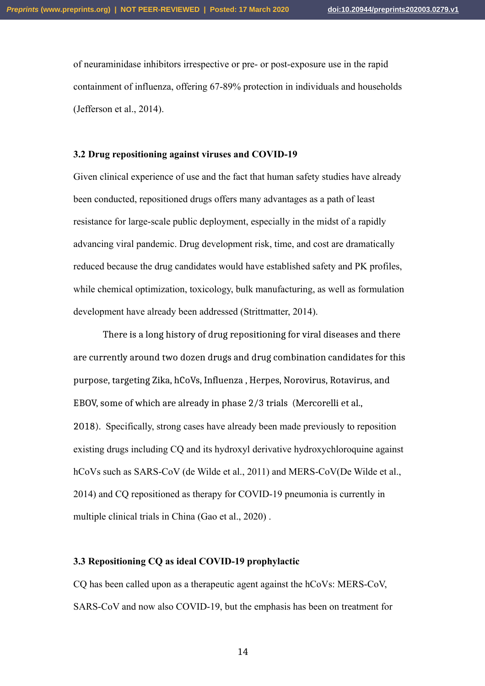of neuraminidase inhibitors irrespective or pre- or post-exposure use in the rapid containment of influenza, offering 67-89% protection in individuals and households (Jefferson et al., 2014).

## **3.2 Drug repositioning against viruses and COVID-19**

Given clinical experience of use and the fact that human safety studies have already been conducted, repositioned drugs offers many advantages as a path of least resistance for large-scale public deployment, especially in the midst of a rapidly advancing viral pandemic. Drug development risk, time, and cost are dramatically reduced because the drug candidates would have established safety and PK profiles, while chemical optimization, toxicology, bulk manufacturing, as well as formulation development have already been addressed (Strittmatter, 2014).

There is a long history of drug repositioning for viral diseases and there are currently around two dozen drugs and drug combination candidates for this purpose, targeting Zika, hCoVs, Influenza , Herpes, Norovirus, Rotavirus, and EBOV, some of which are already in phase 2/3 trials (Mercorelli et al., 2018). Specifically, strong cases have already been made previously to reposition existing drugs including CQ and its hydroxyl derivative hydroxychloroquine against hCoVs such as SARS-CoV (de Wilde et al., 2011) and MERS-CoV(De Wilde et al., 2014) and CQ repositioned as therapy for COVID-19 pneumonia is currently in multiple clinical trials in China (Gao et al., 2020) .

## **3.3 Repositioning CQ as ideal COVID-19 prophylactic**

CQ has been called upon as a therapeutic agent against the hCoVs: MERS-CoV, SARS-CoV and now also COVID-19, but the emphasis has been on treatment for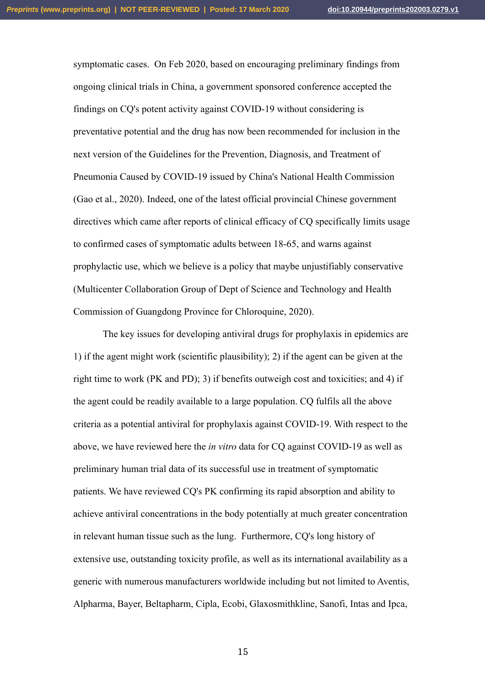symptomatic cases. On Feb 2020, based on encouraging preliminary findings from ongoing clinical trials in China, a government sponsored conference accepted the findings on CQ's potent activity against COVID-19 without considering is preventative potential and the drug has now been recommended for inclusion in the next version of the Guidelines for the Prevention, Diagnosis, and Treatment of Pneumonia Caused by COVID-19 issued by China's National Health Commission (Gao et al., 2020). Indeed, one of the latest official provincial Chinese government directives which came after reports of clinical efficacy of CQ specifically limits usage to confirmed cases of symptomatic adults between 18-65, and warns against prophylactic use, which we believe is a policy that maybe unjustifiably conservative (Multicenter Collaboration Group of Dept of Science and Technology and Health Commission of Guangdong Province for Chloroquine, 2020).

The key issues for developing antiviral drugs for prophylaxis in epidemics are 1) if the agent might work (scientific plausibility); 2) if the agent can be given at the right time to work (PK and PD); 3) if benefits outweigh cost and toxicities; and 4) if the agent could be readily available to a large population. CQ fulfils all the above criteria as a potential antiviral for prophylaxis against COVID-19. With respect to the above, we have reviewed here the *in vitro* data for CQ against COVID-19 as well as preliminary human trial data of its successful use in treatment of symptomatic patients. We have reviewed CQ's PK confirming its rapid absorption and ability to achieve antiviral concentrations in the body potentially at much greater concentration in relevant human tissue such as the lung. Furthermore, CQ's long history of extensive use, outstanding toxicity profile, as well as its international availability as a generic with numerous manufacturers worldwide including but not limited to Aventis, Alpharma, Bayer, Beltapharm, Cipla, Ecobi, Glaxosmithkline, Sanofi, Intas and Ipca,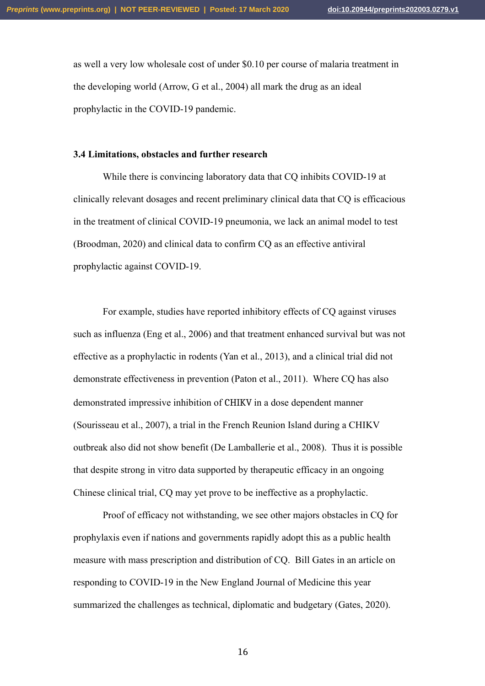as well a very low wholesale cost of under \$0.10 per course of malaria treatment in the developing world (Arrow, G et al., 2004) all mark the drug as an ideal prophylactic in the COVID-19 pandemic.

## **3.4 Limitations, obstacles and further research**

While there is convincing laboratory data that CQ inhibits COVID-19 at clinically relevant dosages and recent preliminary clinical data that CQ is efficacious in the treatment of clinical COVID-19 pneumonia, we lack an animal model to test (Broodman, 2020) and clinical data to confirm CQ as an effective antiviral prophylactic against COVID-19.

For example, studies have reported inhibitory effects of CQ against viruses such as influenza (Eng et al., 2006) and that treatment enhanced survival but was not effective as a prophylactic in rodents (Yan et al., 2013), and a clinical trial did not demonstrate effectiveness in prevention (Paton et al., 2011). Where CQ has also demonstrated impressive inhibition of CHIKV in a dose dependent manner (Sourisseau et al., 2007), a trial in the French Reunion Island during a CHIKV outbreak also did not show benefit (De Lamballerie et al., 2008). Thus it is possible that despite strong in vitro data supported by therapeutic efficacy in an ongoing Chinese clinical trial, CQ may yet prove to be ineffective as a prophylactic.

Proof of efficacy not withstanding, we see other majors obstacles in CQ for prophylaxis even if nations and governments rapidly adopt this as a public health measure with mass prescription and distribution of CQ. Bill Gates in an article on responding to COVID-19 in the New England Journal of Medicine this year summarized the challenges as technical, diplomatic and budgetary (Gates, 2020).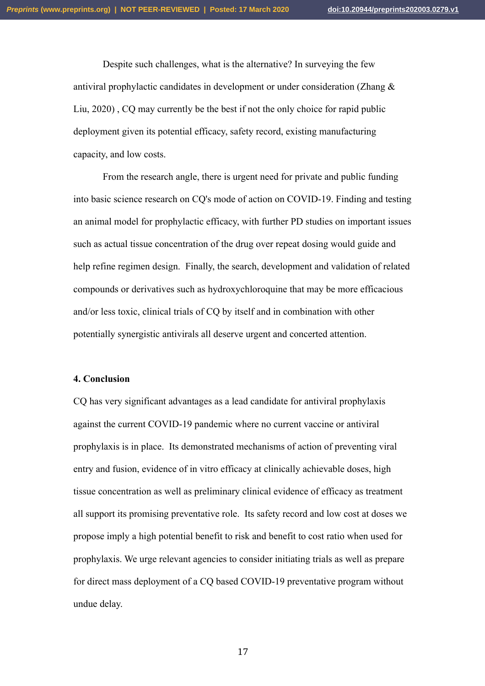Despite such challenges, what is the alternative? In surveying the few antiviral prophylactic candidates in development or under consideration (Zhang & Liu, 2020) , CQ may currently be the best if not the only choice for rapid public deployment given its potential efficacy, safety record, existing manufacturing capacity, and low costs.

From the research angle, there is urgent need for private and public funding into basic science research on CQ's mode of action on COVID-19. Finding and testing an animal model for prophylactic efficacy, with further PD studies on important issues such as actual tissue concentration of the drug over repeat dosing would guide and help refine regimen design. Finally, the search, development and validation of related compounds or derivatives such as hydroxychloroquine that may be more efficacious and/or less toxic, clinical trials of CQ by itself and in combination with other potentially synergistic antivirals all deserve urgent and concerted attention.

#### **4. Conclusion**

CQ has very significant advantages as a lead candidate for antiviral prophylaxis against the current COVID-19 pandemic where no current vaccine or antiviral prophylaxis is in place. Its demonstrated mechanisms of action of preventing viral entry and fusion, evidence of in vitro efficacy at clinically achievable doses, high tissue concentration as well as preliminary clinical evidence of efficacy as treatment all support its promising preventative role. Its safety record and low cost at doses we propose imply a high potential benefit to risk and benefit to cost ratio when used for prophylaxis. We urge relevant agencies to consider initiating trials as well as prepare for direct mass deployment of a CQ based COVID-19 preventative program without undue delay.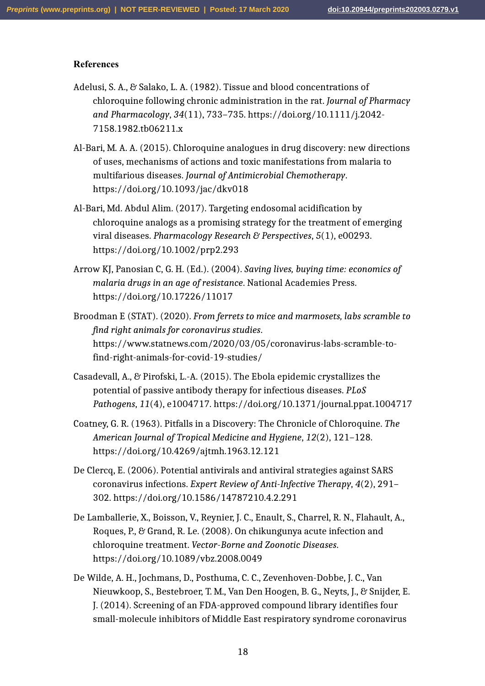#### **References**

- Adelusi, S. A., & Salako, L. A. (1982). Tissue and blood concentrations of chloroquine following chronic administration in the rat. *Journal of Pharmacy and Pharmacology*, *34*(11), 733–735. https://doi.org/10.1111/j.2042- 7158.1982.tb06211.x
- Al-Bari, M. A. A. (2015). Chloroquine analogues in drug discovery: new directions of uses, mechanisms of actions and toxic manifestations from malaria to multifarious diseases. *Journal of Antimicrobial Chemotherapy*. https://doi.org/10.1093/jac/dkv018
- Al-Bari, Md. Abdul Alim. (2017). Targeting endosomal acidification by chloroquine analogs as a promising strategy for the treatment of emerging viral diseases. *Pharmacology Research & Perspectives*, *5*(1), e00293. https://doi.org/10.1002/prp2.293
- Arrow KJ, Panosian C, G. H. (Ed.). (2004). *Saving lives, buying time: economics of malaria drugs in an age of resistance*. National Academies Press. https://doi.org/10.17226/11017
- Broodman E (STAT). (2020). *From ferrets to mice and marmosets, labs scramble to find right animals for coronavirus studies*. https://www.statnews.com/2020/03/05/coronavirus-labs-scramble-tofind-right-animals-for-covid-19-studies/
- Casadevall, A., & Pirofski, L.-A. (2015). The Ebola epidemic crystallizes the potential of passive antibody therapy for infectious diseases. *PLoS Pathogens*, *11*(4), e1004717. https://doi.org/10.1371/journal.ppat.1004717
- Coatney, G. R. (1963). Pitfalls in a Discovery: The Chronicle of Chloroquine. *The American Journal of Tropical Medicine and Hygiene*, *12*(2), 121–128. https://doi.org/10.4269/ajtmh.1963.12.121
- De Clercq, E. (2006). Potential antivirals and antiviral strategies against SARS coronavirus infections. *Expert Review of Anti-Infective Therapy*, *4*(2), 291– 302. https://doi.org/10.1586/14787210.4.2.291
- De Lamballerie, X., Boisson, V., Reynier, J. C., Enault, S., Charrel, R. N., Flahault, A., Roques, P., & Grand, R. Le. (2008). On chikungunya acute infection and chloroquine treatment. *Vector-Borne and Zoonotic Diseases*. https://doi.org/10.1089/vbz.2008.0049
- De Wilde, A. H., Jochmans, D., Posthuma, C. C., Zevenhoven-Dobbe, J. C., Van Nieuwkoop, S., Bestebroer, T. M., Van Den Hoogen, B. G., Neyts, J., & Snijder, E. J. (2014). Screening of an FDA-approved compound library identifies four small-molecule inhibitors of Middle East respiratory syndrome coronavirus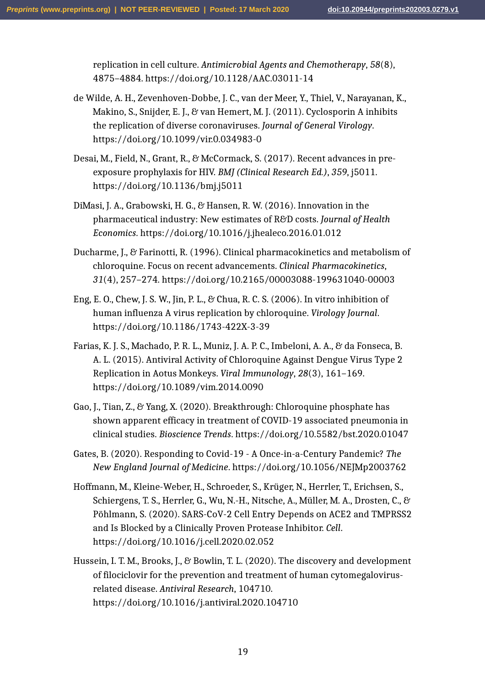replication in cell culture. *Antimicrobial Agents and Chemotherapy*, *58*(8), 4875–4884. https://doi.org/10.1128/AAC.03011-14

- de Wilde, A. H., Zevenhoven-Dobbe, J. C., van der Meer, Y., Thiel, V., Narayanan, K., Makino, S., Snijder, E. J., & van Hemert, M. J. (2011). Cyclosporin A inhibits the replication of diverse coronaviruses. *Journal of General Virology*. https://doi.org/10.1099/vir.0.034983-0
- Desai, M., Field, N., Grant, R., & McCormack, S. (2017). Recent advances in preexposure prophylaxis for HIV. *BMJ (Clinical Research Ed.)*, *359*, j5011. https://doi.org/10.1136/bmj.j5011
- DiMasi, J. A., Grabowski, H. G., & Hansen, R. W. (2016). Innovation in the pharmaceutical industry: New estimates of R&D costs. *Journal of Health Economics*. https://doi.org/10.1016/j.jhealeco.2016.01.012
- Ducharme, J., & Farinotti, R. (1996). Clinical pharmacokinetics and metabolism of chloroquine. Focus on recent advancements. *Clinical Pharmacokinetics*, *31*(4), 257–274. https://doi.org/10.2165/00003088-199631040-00003
- Eng, E. O., Chew, J. S. W., Jin, P. L., & Chua, R. C. S. (2006). In vitro inhibition of human influenza A virus replication by chloroquine. *Virology Journal*. https://doi.org/10.1186/1743-422X-3-39
- Farias, K. J. S., Machado, P. R. L., Muniz, J. A. P. C., Imbeloni, A. A., & da Fonseca, B. A. L. (2015). Antiviral Activity of Chloroquine Against Dengue Virus Type 2 Replication in Aotus Monkeys. *Viral Immunology*, *28*(3), 161–169. https://doi.org/10.1089/vim.2014.0090
- Gao, J., Tian, Z., & Yang, X. (2020). Breakthrough: Chloroquine phosphate has shown apparent efficacy in treatment of COVID-19 associated pneumonia in clinical studies. *Bioscience Trends*. https://doi.org/10.5582/bst.2020.01047
- Gates, B. (2020). Responding to Covid-19 A Once-in-a-Century Pandemic? *The New England Journal of Medicine*. https://doi.org/10.1056/NEJMp2003762
- Hoffmann, M., Kleine-Weber, H., Schroeder, S., Krüger, N., Herrler, T., Erichsen, S., Schiergens, T. S., Herrler, G., Wu, N.-H., Nitsche, A., Müller, M. A., Drosten, C., & Pöhlmann, S. (2020). SARS-CoV-2 Cell Entry Depends on ACE2 and TMPRSS2 and Is Blocked by a Clinically Proven Protease Inhibitor. *Cell*. https://doi.org/10.1016/j.cell.2020.02.052
- Hussein, I. T. M., Brooks, J., & Bowlin, T. L. (2020). The discovery and development of filociclovir for the prevention and treatment of human cytomegalovirusrelated disease. *Antiviral Research*, 104710. https://doi.org/10.1016/j.antiviral.2020.104710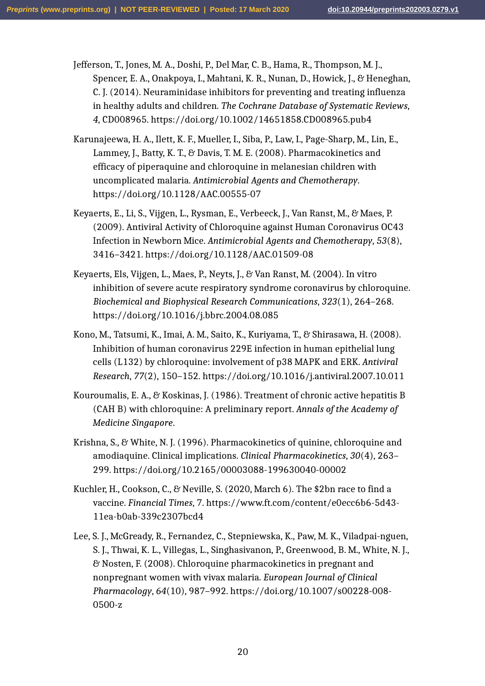Jefferson, T., Jones, M. A., Doshi, P., Del Mar, C. B., Hama, R., Thompson, M. J., Spencer, E. A., Onakpoya, I., Mahtani, K. R., Nunan, D., Howick, J., & Heneghan, C. J. (2014). Neuraminidase inhibitors for preventing and treating influenza in healthy adults and children. *The Cochrane Database of Systematic Reviews*, *4*, CD008965. https://doi.org/10.1002/14651858.CD008965.pub4

- Karunajeewa, H. A., Ilett, K. F., Mueller, I., Siba, P., Law, I., Page-Sharp, M., Lin, E., Lammey, J., Batty, K. T., & Davis, T. M. E. (2008). Pharmacokinetics and efficacy of piperaquine and chloroquine in melanesian children with uncomplicated malaria. *Antimicrobial Agents and Chemotherapy*. https://doi.org/10.1128/AAC.00555-07
- Keyaerts, E., Li, S., Vijgen, L., Rysman, E., Verbeeck, J., Van Ranst, M., & Maes, P. (2009). Antiviral Activity of Chloroquine against Human Coronavirus OC43 Infection in Newborn Mice. *Antimicrobial Agents and Chemotherapy*, *53*(8), 3416–3421. https://doi.org/10.1128/AAC.01509-08
- Keyaerts, Els, Vijgen, L., Maes, P., Neyts, J., & Van Ranst, M. (2004). In vitro inhibition of severe acute respiratory syndrome coronavirus by chloroquine. *Biochemical and Biophysical Research Communications*, *323*(1), 264–268. https://doi.org/10.1016/j.bbrc.2004.08.085
- Kono, M., Tatsumi, K., Imai, A. M., Saito, K., Kuriyama, T., & Shirasawa, H. (2008). Inhibition of human coronavirus 229E infection in human epithelial lung cells (L132) by chloroquine: involvement of p38 MAPK and ERK. *Antiviral Research*, *77*(2), 150–152. https://doi.org/10.1016/j.antiviral.2007.10.011
- Kouroumalis, E. A., & Koskinas, J. (1986). Treatment of chronic active hepatitis B (CAH B) with chloroquine: A preliminary report. *Annals of the Academy of Medicine Singapore*.
- Krishna, S., & White, N. J. (1996). Pharmacokinetics of quinine, chloroquine and amodiaquine. Clinical implications. *Clinical Pharmacokinetics*, *30*(4), 263– 299. https://doi.org/10.2165/00003088-199630040-00002
- Kuchler, H., Cookson, C., & Neville, S. (2020, March 6). The \$2bn race to find a vaccine. *Financial Times*, 7. https://www.ft.com/content/e0ecc6b6-5d43- 11ea-b0ab-339c2307bcd4
- Lee, S. J., McGready, R., Fernandez, C., Stepniewska, K., Paw, M. K., Viladpai-nguen, S. J., Thwai, K. L., Villegas, L., Singhasivanon, P., Greenwood, B. M., White, N. J., & Nosten, F. (2008). Chloroquine pharmacokinetics in pregnant and nonpregnant women with vivax malaria. *European Journal of Clinical Pharmacology*, *64*(10), 987–992. https://doi.org/10.1007/s00228-008- 0500-z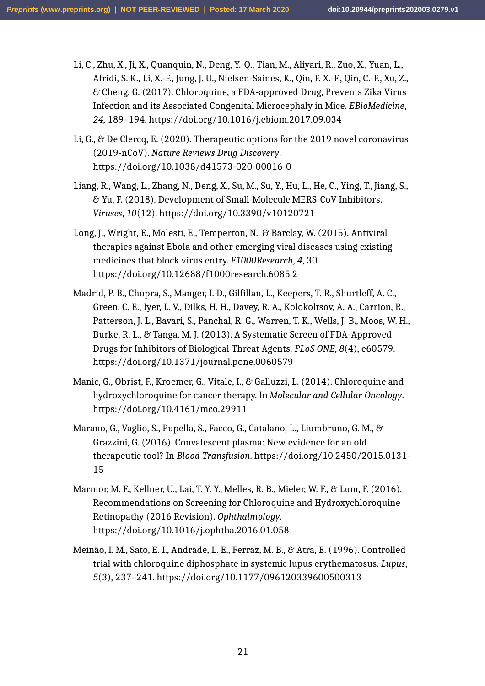- Li, C., Zhu, X., Ji, X., Quanquin, N., Deng, Y.-Q., Tian, M., Aliyari, R., Zuo, X., Yuan, L., Afridi, S. K., Li, X.-F., Jung, J. U., Nielsen-Saines, K., Qin, F. X.-F., Qin, C.-F., Xu, Z., & Cheng, G. (2017). Chloroquine, a FDA-approved Drug, Prevents Zika Virus Infection and its Associated Congenital Microcephaly in Mice. *EBioMedicine*, *24*, 189–194. https://doi.org/10.1016/j.ebiom.2017.09.034
- Li, G., & De Clercq, E. (2020). Therapeutic options for the 2019 novel coronavirus (2019-nCoV). *Nature Reviews Drug Discovery*. https://doi.org/10.1038/d41573-020-00016-0
- Liang, R., Wang, L., Zhang, N., Deng, X., Su, M., Su, Y., Hu, L., He, C., Ying, T., Jiang, S., & Yu, F. (2018). Development of Small-Molecule MERS-CoV Inhibitors. *Viruses*, *10*(12). https://doi.org/10.3390/v10120721
- Long, J., Wright, E., Molesti, E., Temperton, N., & Barclay, W. (2015). Antiviral therapies against Ebola and other emerging viral diseases using existing medicines that block virus entry. *F1000Research*, *4*, 30. https://doi.org/10.12688/f1000research.6085.2
- Madrid, P. B., Chopra, S., Manger, I. D., Gilfillan, L., Keepers, T. R., Shurtleff, A. C., Green, C. E., Iyer, L. V., Dilks, H. H., Davey, R. A., Kolokoltsov, A. A., Carrion, R., Patterson, J. L., Bavari, S., Panchal, R. G., Warren, T. K., Wells, J. B., Moos, W. H., Burke, R. L., & Tanga, M. J. (2013). A Systematic Screen of FDA-Approved Drugs for Inhibitors of Biological Threat Agents. *PLoS ONE*, *8*(4), e60579. https://doi.org/10.1371/journal.pone.0060579
- Manic, G., Obrist, F., Kroemer, G., Vitale, I., & Galluzzi, L. (2014). Chloroquine and hydroxychloroquine for cancer therapy. In *Molecular and Cellular Oncology*. https://doi.org/10.4161/mco.29911
- Marano, G., Vaglio, S., Pupella, S., Facco, G., Catalano, L., Liumbruno, G. M., & Grazzini, G. (2016). Convalescent plasma: New evidence for an old therapeutic tool? In *Blood Transfusion*. https://doi.org/10.2450/2015.0131- 15
- Marmor, M. F., Kellner, U., Lai, T. Y. Y., Melles, R. B., Mieler, W. F., & Lum, F. (2016). Recommendations on Screening for Chloroquine and Hydroxychloroquine Retinopathy (2016 Revision). *Ophthalmology*. https://doi.org/10.1016/j.ophtha.2016.01.058
- Meinão, I. M., Sato, E. I., Andrade, L. E., Ferraz, M. B., & Atra, E. (1996). Controlled trial with chloroquine diphosphate in systemic lupus erythematosus. *Lupus*, *5*(3), 237–241. https://doi.org/10.1177/096120339600500313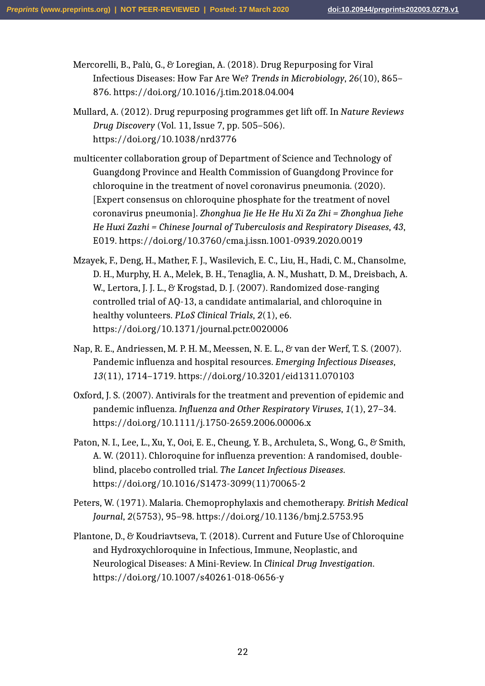Mercorelli, B., Palù, G., & Loregian, A. (2018). Drug Repurposing for Viral Infectious Diseases: How Far Are We? *Trends in Microbiology*, *26*(10), 865– 876. https://doi.org/10.1016/j.tim.2018.04.004

- Mullard, A. (2012). Drug repurposing programmes get lift off. In *Nature Reviews Drug Discovery* (Vol. 11, Issue 7, pp. 505–506). https://doi.org/10.1038/nrd3776
- multicenter collaboration group of Department of Science and Technology of Guangdong Province and Health Commission of Guangdong Province for chloroquine in the treatment of novel coronavirus pneumonia. (2020). [Expert consensus on chloroquine phosphate for the treatment of novel coronavirus pneumonia]. *Zhonghua Jie He He Hu Xi Za Zhi = Zhonghua Jiehe He Huxi Zazhi = Chinese Journal of Tuberculosis and Respiratory Diseases*, *43*, E019. https://doi.org/10.3760/cma.j.issn.1001-0939.2020.0019
- Mzayek, F., Deng, H., Mather, F. J., Wasilevich, E. C., Liu, H., Hadi, C. M., Chansolme, D. H., Murphy, H. A., Melek, B. H., Tenaglia, A. N., Mushatt, D. M., Dreisbach, A. W., Lertora, J. J. L., & Krogstad, D. J. (2007). Randomized dose-ranging controlled trial of AQ-13, a candidate antimalarial, and chloroquine in healthy volunteers. *PLoS Clinical Trials*, *2*(1), e6. https://doi.org/10.1371/journal.pctr.0020006
- Nap, R. E., Andriessen, M. P. H. M., Meessen, N. E. L., & van der Werf, T. S. (2007). Pandemic influenza and hospital resources. *Emerging Infectious Diseases*, *13*(11), 1714–1719. https://doi.org/10.3201/eid1311.070103
- Oxford, J. S. (2007). Antivirals for the treatment and prevention of epidemic and pandemic influenza. *Influenza and Other Respiratory Viruses*, *1*(1), 27–34. https://doi.org/10.1111/j.1750-2659.2006.00006.x
- Paton, N. I., Lee, L., Xu, Y., Ooi, E. E., Cheung, Y. B., Archuleta, S., Wong, G., & Smith, A. W. (2011). Chloroquine for influenza prevention: A randomised, doubleblind, placebo controlled trial. *The Lancet Infectious Diseases*. https://doi.org/10.1016/S1473-3099(11)70065-2
- Peters, W. (1971). Malaria. Chemoprophylaxis and chemotherapy. *British Medical Journal*, *2*(5753), 95–98. https://doi.org/10.1136/bmj.2.5753.95
- Plantone, D., & Koudriavtseva, T. (2018). Current and Future Use of Chloroquine and Hydroxychloroquine in Infectious, Immune, Neoplastic, and Neurological Diseases: A Mini-Review. In *Clinical Drug Investigation*. https://doi.org/10.1007/s40261-018-0656-y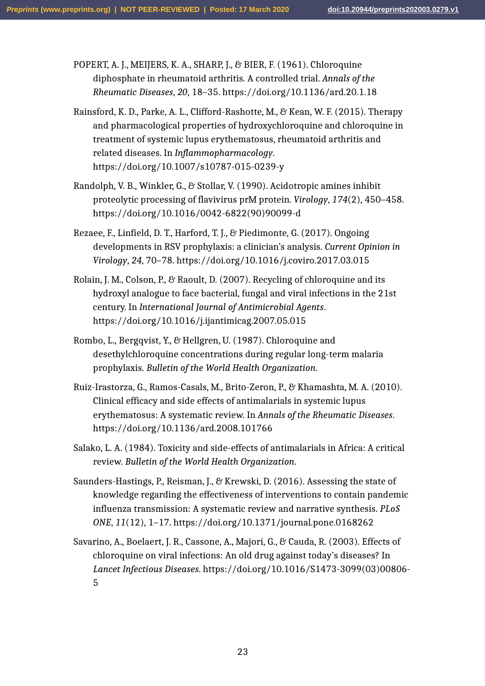POPERT, A. J., MEIJERS, K. A., SHARP, J., & BIER, F. (1961). Chloroquine diphosphate in rheumatoid arthritis. A controlled trial. *Annals of the Rheumatic Diseases*, *20*, 18–35. https://doi.org/10.1136/ard.20.1.18

- Rainsford, K. D., Parke, A. L., Clifford-Rashotte, M., & Kean, W. F. (2015). Therapy and pharmacological properties of hydroxychloroquine and chloroquine in treatment of systemic lupus erythematosus, rheumatoid arthritis and related diseases. In *Inflammopharmacology*. https://doi.org/10.1007/s10787-015-0239-y
- Randolph, V. B., Winkler, G., & Stollar, V. (1990). Acidotropic amines inhibit proteolytic processing of flavivirus prM protein. *Virology*, *174*(2), 450–458. https://doi.org/10.1016/0042-6822(90)90099-d
- Rezaee, F., Linfield, D. T., Harford, T. J., & Piedimonte, G. (2017). Ongoing developments in RSV prophylaxis: a clinician's analysis. *Current Opinion in Virology*, *24*, 70–78. https://doi.org/10.1016/j.coviro.2017.03.015
- Rolain, J. M., Colson, P., & Raoult, D. (2007). Recycling of chloroquine and its hydroxyl analogue to face bacterial, fungal and viral infections in the 21st century. In *International Journal of Antimicrobial Agents*. https://doi.org/10.1016/j.ijantimicag.2007.05.015
- Rombo, L., Bergqvist, Y., & Hellgren, U. (1987). Chloroquine and desethylchloroquine concentrations during regular long-term malaria prophylaxis. *Bulletin of the World Health Organization*.
- Ruiz-Irastorza, G., Ramos-Casals, M., Brito-Zeron, P., & Khamashta, M. A. (2010). Clinical efficacy and side effects of antimalarials in systemic lupus erythematosus: A systematic review. In *Annals of the Rheumatic Diseases*. https://doi.org/10.1136/ard.2008.101766
- Salako, L. A. (1984). Toxicity and side-effects of antimalarials in Africa: A critical review. *Bulletin of the World Health Organization*.
- Saunders-Hastings, P., Reisman, J., & Krewski, D. (2016). Assessing the state of knowledge regarding the effectiveness of interventions to contain pandemic influenza transmission: A systematic review and narrative synthesis. *PLoS ONE*, *11*(12), 1–17. https://doi.org/10.1371/journal.pone.0168262
- Savarino, A., Boelaert, J. R., Cassone, A., Majori, G., & Cauda, R. (2003). Effects of chloroquine on viral infections: An old drug against today's diseases? In *Lancet Infectious Diseases*. https://doi.org/10.1016/S1473-3099(03)00806- 5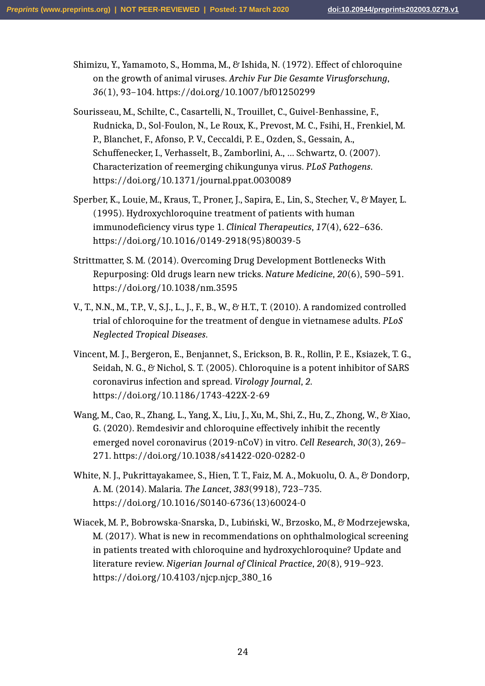Shimizu, Y., Yamamoto, S., Homma, M., & Ishida, N. (1972). Effect of chloroquine on the growth of animal viruses. *Archiv Fur Die Gesamte Virusforschung*, *36*(1), 93–104. https://doi.org/10.1007/bf01250299

- Sourisseau, M., Schilte, C., Casartelli, N., Trouillet, C., Guivel-Benhassine, F., Rudnicka, D., Sol-Foulon, N., Le Roux, K., Prevost, M. C., Fsihi, H., Frenkiel, M. P., Blanchet, F., Afonso, P. V., Ceccaldi, P. E., Ozden, S., Gessain, A., Schuffenecker, I., Verhasselt, B., Zamborlini, A., … Schwartz, O. (2007). Characterization of reemerging chikungunya virus. *PLoS Pathogens*. https://doi.org/10.1371/journal.ppat.0030089
- Sperber, K., Louie, M., Kraus, T., Proner, J., Sapira, E., Lin, S., Stecher, V., & Mayer, L. (1995). Hydroxychloroquine treatment of patients with human immunodeficiency virus type 1. *Clinical Therapeutics*, *17*(4), 622–636. https://doi.org/10.1016/0149-2918(95)80039-5
- Strittmatter, S. M. (2014). Overcoming Drug Development Bottlenecks With Repurposing: Old drugs learn new tricks. *Nature Medicine*, *20*(6), 590–591. https://doi.org/10.1038/nm.3595
- V., T., N.N., M., T.P., V., S.J., L., J., F., B., W., & H.T., T. (2010). A randomized controlled trial of chloroquine for the treatment of dengue in vietnamese adults. *PLoS Neglected Tropical Diseases*.
- Vincent, M. J., Bergeron, E., Benjannet, S., Erickson, B. R., Rollin, P. E., Ksiazek, T. G., Seidah, N. G., & Nichol, S. T. (2005). Chloroquine is a potent inhibitor of SARS coronavirus infection and spread. *Virology Journal*, *2*. https://doi.org/10.1186/1743-422X-2-69
- Wang, M., Cao, R., Zhang, L., Yang, X., Liu, J., Xu, M., Shi, Z., Hu, Z., Zhong, W., & Xiao, G. (2020). Remdesivir and chloroquine effectively inhibit the recently emerged novel coronavirus (2019-nCoV) in vitro. *Cell Research*, *30*(3), 269– 271. https://doi.org/10.1038/s41422-020-0282-0
- White, N. J., Pukrittayakamee, S., Hien, T. T., Faiz, M. A., Mokuolu, O. A., & Dondorp, A. M. (2014). Malaria. *The Lancet*, *383*(9918), 723–735. https://doi.org/10.1016/S0140-6736(13)60024-0
- Wiacek, M. P., Bobrowska-Snarska, D., Lubiński, W., Brzosko, M., & Modrzejewska, M. (2017). What is new in recommendations on ophthalmological screening in patients treated with chloroquine and hydroxychloroquine? Update and literature review. *Nigerian Journal of Clinical Practice*, *20*(8), 919–923. https://doi.org/10.4103/njcp.njcp\_380\_16